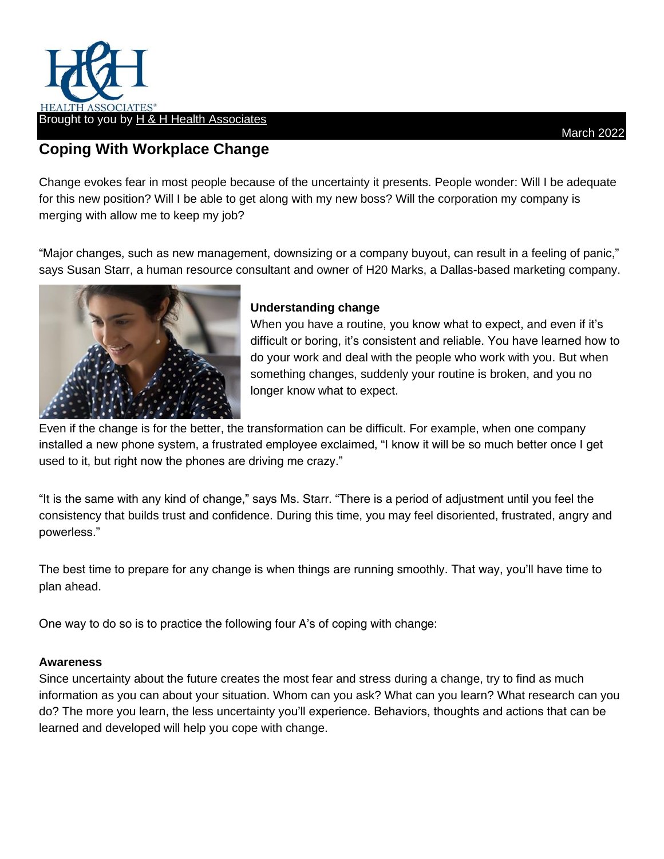

# **Coping With Workplace Change**

Change evokes fear in most people because of the uncertainty it presents. People wonder: Will I be adequate for this new position? Will I be able to get along with my new boss? Will the corporation my company is merging with allow me to keep my job?

"Major changes, such as new management, downsizing or a company buyout, can result in a feeling of panic," says Susan Starr, a human resource consultant and owner of H20 Marks, a Dallas-based marketing company.



## **Understanding change**

When you have a routine, you know what to expect, and even if it's difficult or boring, it's consistent and reliable. You have learned how to do your work and deal with the people who work with you. But when something changes, suddenly your routine is broken, and you no longer know what to expect.

Even if the change is for the better, the transformation can be difficult. For example, when one company installed a new phone system, a frustrated employee exclaimed, "I know it will be so much better once I get used to it, but right now the phones are driving me crazy."

"It is the same with any kind of change," says Ms. Starr. "There is a period of adjustment until you feel the consistency that builds trust and confidence. During this time, you may feel disoriented, frustrated, angry and powerless."

The best time to prepare for any change is when things are running smoothly. That way, you'll have time to plan ahead.

One way to do so is to practice the following four A's of coping with change:

### **Awareness**

Since uncertainty about the future creates the most fear and stress during a change, try to find as much information as you can about your situation. Whom can you ask? What can you learn? What research can you do? The more you learn, the less uncertainty you'll experience. Behaviors, thoughts and actions that can be learned and developed will help you cope with change.